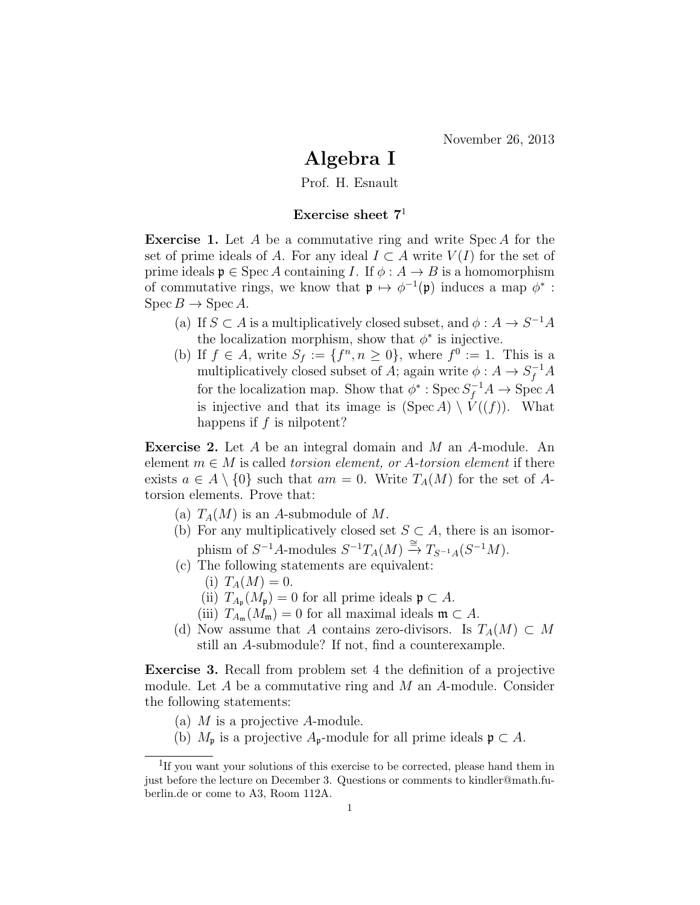## Algebra I

Prof. H. Esnault

## Exercise sheet  $7<sup>1</sup>$

**Exercise 1.** Let  $A$  be a commutative ring and write  $Spec A$  for the set of prime ideals of A. For any ideal  $I \subset A$  write  $V(I)$  for the set of prime ideals  $\mathfrak{p} \in \text{Spec } A$  containing I. If  $\phi : A \to B$  is a homomorphism of commutative rings, we know that  $\mathfrak{p} \mapsto \phi^{-1}(\mathfrak{p})$  induces a map  $\phi^*$ :  $\text{Spec } B \to \text{Spec } A$ .

- (a) If  $S \subset A$  is a multiplicatively closed subset, and  $\phi: A \to S^{-1}A$ the localization morphism, show that  $\phi^*$  is injective.
- (b) If  $f \in A$ , write  $S_f := \{f^n, n \geq 0\}$ , where  $f^0 := 1$ . This is a multiplicatively closed subset of A; again write  $\phi: A \to S_f^{-1}A$ for the localization map. Show that  $\phi^*$ : Spec  $S_f^{-1}A \to \text{Spec } A$ is injective and that its image is  $(Spec A) \setminus V((f))$ . What happens if  $f$  is nilpotent?

Exercise 2. Let A be an integral domain and M an A-module. An element  $m \in M$  is called *torsion element, or A-torsion element* if there exists  $a \in A \setminus \{0\}$  such that  $am = 0$ . Write  $T_A(M)$  for the set of Atorsion elements. Prove that:

- (a)  $T_A(M)$  is an A-submodule of M.
- (b) For any multiplicatively closed set  $S \subset A$ , there is an isomorphism of  $S^{-1}A$ -modules  $S^{-1}T_A(M) \stackrel{\cong}{\to} T_{S^{-1}A}(S^{-1}M)$ .
- (c) The following statements are equivalent:
	- (i)  $T_A(M) = 0$ .
	- (ii)  $T_{A_{\mathfrak{p}}}(M_{\mathfrak{p}})=0$  for all prime ideals  $\mathfrak{p} \subset A$ .
	- (iii)  $T_{A_{\mathfrak{m}}}(M_{\mathfrak{m}})=0$  for all maximal ideals  $\mathfrak{m}\subset A$ .
- (d) Now assume that A contains zero-divisors. Is  $T_A(M) \subset M$ still an A-submodule? If not, find a counterexample.

Exercise 3. Recall from problem set 4 the definition of a projective module. Let  $A$  be a commutative ring and  $M$  an  $A$ -module. Consider the following statements:

- (a)  $M$  is a projective  $A$ -module.
- (b)  $M_{\mathfrak{p}}$  is a projective  $A_{\mathfrak{p}}$ -module for all prime ideals  $\mathfrak{p} \subset A$ .

<sup>&</sup>lt;sup>1</sup>If you want your solutions of this exercise to be corrected, please hand them in just before the lecture on December 3. Questions or comments to kindler@math.fuberlin.de or come to A3, Room 112A.